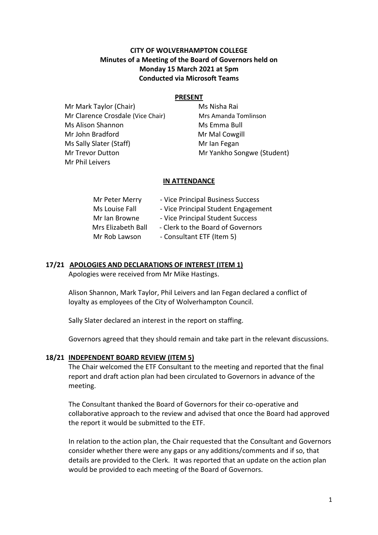### **CITY OF WOLVERHAMPTON COLLEGE Minutes of a Meeting of the Board of Governors held on Monday 15 March 2021 at 5pm Conducted via Microsoft Teams**

### **PRESENT**

**Mr Mark Taylor (Chair)** Ms Nisha Rai Mr Clarence Crosdale (Vice Chair) Mrs Amanda Tomlinson Ms Alison Shannon Ms Emma Bull Mr John Bradford Mr Mal Cowgill Ms Sally Slater (Staff) Mr Ian Fegan Mr Trevor Dutton Mr Yankho Songwe (Student) Mr Phil Leivers

#### **IN ATTENDANCE**

| Mr Peter Merry     | - Vice Principal Business Success   |
|--------------------|-------------------------------------|
| Ms Louise Fall     | - Vice Principal Student Engagement |
| Mr Ian Browne      | - Vice Principal Student Success    |
| Mrs Elizabeth Ball | - Clerk to the Board of Governors   |
| Mr Rob Lawson      | - Consultant ETF (Item 5)           |

### **17/21 APOLOGIES AND DECLARATIONS OF INTEREST (ITEM 1)**

Apologies were received from Mr Mike Hastings.

Alison Shannon, Mark Taylor, Phil Leivers and Ian Fegan declared a conflict of loyalty as employees of the City of Wolverhampton Council.

Sally Slater declared an interest in the report on staffing.

Governors agreed that they should remain and take part in the relevant discussions.

### **18/21 INDEPENDENT BOARD REVIEW (ITEM 5)**

The Chair welcomed the ETF Consultant to the meeting and reported that the final report and draft action plan had been circulated to Governors in advance of the meeting.

The Consultant thanked the Board of Governors for their co-operative and collaborative approach to the review and advised that once the Board had approved the report it would be submitted to the ETF.

In relation to the action plan, the Chair requested that the Consultant and Governors consider whether there were any gaps or any additions/comments and if so, that details are provided to the Clerk. It was reported that an update on the action plan would be provided to each meeting of the Board of Governors.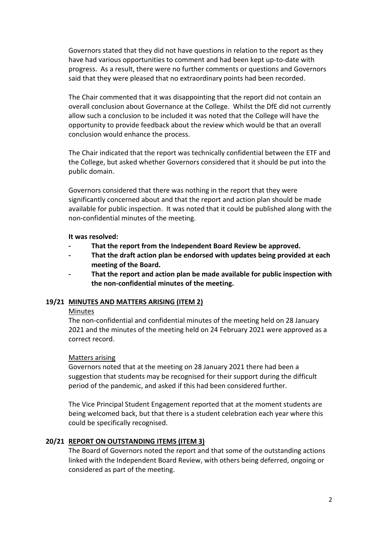Governors stated that they did not have questions in relation to the report as they have had various opportunities to comment and had been kept up-to-date with progress. As a result, there were no further comments or questions and Governors said that they were pleased that no extraordinary points had been recorded.

The Chair commented that it was disappointing that the report did not contain an overall conclusion about Governance at the College. Whilst the DfE did not currently allow such a conclusion to be included it was noted that the College will have the opportunity to provide feedback about the review which would be that an overall conclusion would enhance the process.

The Chair indicated that the report was technically confidential between the ETF and the College, but asked whether Governors considered that it should be put into the public domain.

Governors considered that there was nothing in the report that they were significantly concerned about and that the report and action plan should be made available for public inspection. It was noted that it could be published along with the non-confidential minutes of the meeting.

#### **It was resolved:**

- **- That the report from the Independent Board Review be approved.**
- **- That the draft action plan be endorsed with updates being provided at each meeting of the Board.**
- **- That the report and action plan be made available for public inspection with the non-confidential minutes of the meeting.**

### **19/21 MINUTES AND MATTERS ARISING (ITEM 2)**

### **Minutes**

The non-confidential and confidential minutes of the meeting held on 28 January 2021 and the minutes of the meeting held on 24 February 2021 were approved as a correct record.

### Matters arising

Governors noted that at the meeting on 28 January 2021 there had been a suggestion that students may be recognised for their support during the difficult period of the pandemic, and asked if this had been considered further.

The Vice Principal Student Engagement reported that at the moment students are being welcomed back, but that there is a student celebration each year where this could be specifically recognised.

### **20/21 REPORT ON OUTSTANDING ITEMS (ITEM 3)**

The Board of Governors noted the report and that some of the outstanding actions linked with the Independent Board Review, with others being deferred, ongoing or considered as part of the meeting.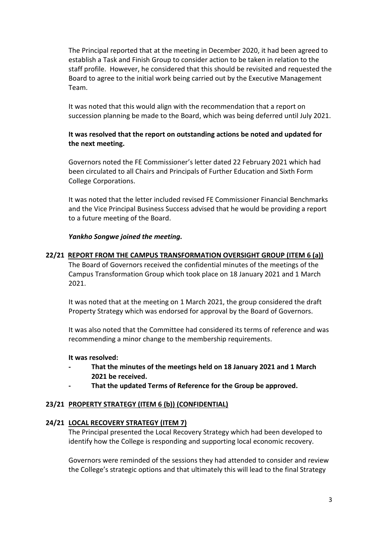The Principal reported that at the meeting in December 2020, it had been agreed to establish a Task and Finish Group to consider action to be taken in relation to the staff profile. However, he considered that this should be revisited and requested the Board to agree to the initial work being carried out by the Executive Management Team.

It was noted that this would align with the recommendation that a report on succession planning be made to the Board, which was being deferred until July 2021.

### **It was resolved that the report on outstanding actions be noted and updated for the next meeting.**

Governors noted the FE Commissioner's letter dated 22 February 2021 which had been circulated to all Chairs and Principals of Further Education and Sixth Form College Corporations.

It was noted that the letter included revised FE Commissioner Financial Benchmarks and the Vice Principal Business Success advised that he would be providing a report to a future meeting of the Board.

### *Yankho Songwe joined the meeting.*

## **22/21 REPORT FROM THE CAMPUS TRANSFORMATION OVERSIGHT GROUP (ITEM 6 (a))** The Board of Governors received the confidential minutes of the meetings of the

Campus Transformation Group which took place on 18 January 2021 and 1 March 2021.

It was noted that at the meeting on 1 March 2021, the group considered the draft Property Strategy which was endorsed for approval by the Board of Governors.

It was also noted that the Committee had considered its terms of reference and was recommending a minor change to the membership requirements.

### **It was resolved:**

- **- That the minutes of the meetings held on 18 January 2021 and 1 March 2021 be received.**
- **- That the updated Terms of Reference for the Group be approved.**

### **23/21 PROPERTY STRATEGY (ITEM 6 (b)) (CONFIDENTIAL)**

### **24/21 LOCAL RECOVERY STRATEGY (ITEM 7)**

The Principal presented the Local Recovery Strategy which had been developed to identify how the College is responding and supporting local economic recovery.

Governors were reminded of the sessions they had attended to consider and review the College's strategic options and that ultimately this will lead to the final Strategy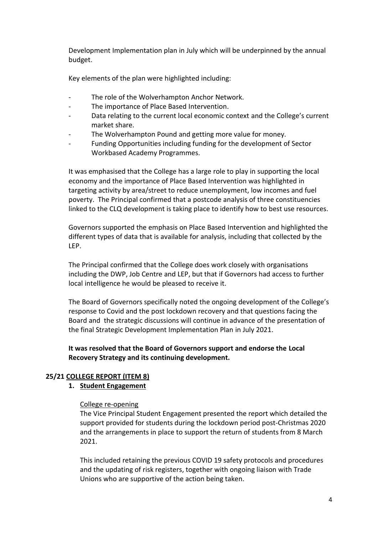Development Implementation plan in July which will be underpinned by the annual budget.

Key elements of the plan were highlighted including:

- The role of the Wolverhampton Anchor Network.
- The importance of Place Based Intervention.
- Data relating to the current local economic context and the College's current market share.
- The Wolverhampton Pound and getting more value for money.
- Funding Opportunities including funding for the development of Sector Workbased Academy Programmes.

It was emphasised that the College has a large role to play in supporting the local economy and the importance of Place Based Intervention was highlighted in targeting activity by area/street to reduce unemployment, low incomes and fuel poverty. The Principal confirmed that a postcode analysis of three constituencies linked to the CLQ development is taking place to identify how to best use resources.

Governors supported the emphasis on Place Based Intervention and highlighted the different types of data that is available for analysis, including that collected by the LEP.

The Principal confirmed that the College does work closely with organisations including the DWP, Job Centre and LEP, but that if Governors had access to further local intelligence he would be pleased to receive it.

The Board of Governors specifically noted the ongoing development of the College's response to Covid and the post lockdown recovery and that questions facing the Board and the strategic discussions will continue in advance of the presentation of the final Strategic Development Implementation Plan in July 2021.

### **It was resolved that the Board of Governors support and endorse the Local Recovery Strategy and its continuing development.**

### **25/21 COLLEGE REPORT (ITEM 8)**

### **1. Student Engagement**

### College re-opening

The Vice Principal Student Engagement presented the report which detailed the support provided for students during the lockdown period post-Christmas 2020 and the arrangements in place to support the return of students from 8 March 2021.

This included retaining the previous COVID 19 safety protocols and procedures and the updating of risk registers, together with ongoing liaison with Trade Unions who are supportive of the action being taken.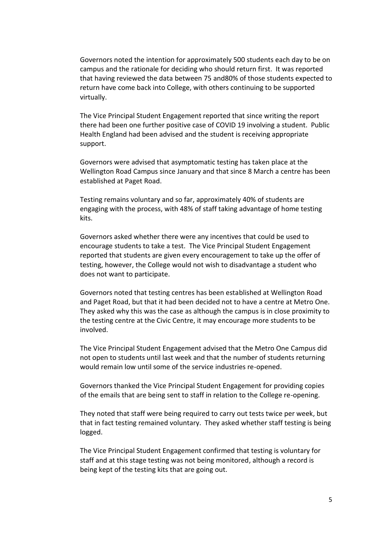Governors noted the intention for approximately 500 students each day to be on campus and the rationale for deciding who should return first. It was reported that having reviewed the data between 75 and80% of those students expected to return have come back into College, with others continuing to be supported virtually.

The Vice Principal Student Engagement reported that since writing the report there had been one further positive case of COVID 19 involving a student. Public Health England had been advised and the student is receiving appropriate support.

Governors were advised that asymptomatic testing has taken place at the Wellington Road Campus since January and that since 8 March a centre has been established at Paget Road.

Testing remains voluntary and so far, approximately 40% of students are engaging with the process, with 48% of staff taking advantage of home testing kits.

Governors asked whether there were any incentives that could be used to encourage students to take a test. The Vice Principal Student Engagement reported that students are given every encouragement to take up the offer of testing, however, the College would not wish to disadvantage a student who does not want to participate.

Governors noted that testing centres has been established at Wellington Road and Paget Road, but that it had been decided not to have a centre at Metro One. They asked why this was the case as although the campus is in close proximity to the testing centre at the Civic Centre, it may encourage more students to be involved.

The Vice Principal Student Engagement advised that the Metro One Campus did not open to students until last week and that the number of students returning would remain low until some of the service industries re-opened.

Governors thanked the Vice Principal Student Engagement for providing copies of the emails that are being sent to staff in relation to the College re-opening.

They noted that staff were being required to carry out tests twice per week, but that in fact testing remained voluntary. They asked whether staff testing is being logged.

The Vice Principal Student Engagement confirmed that testing is voluntary for staff and at this stage testing was not being monitored, although a record is being kept of the testing kits that are going out.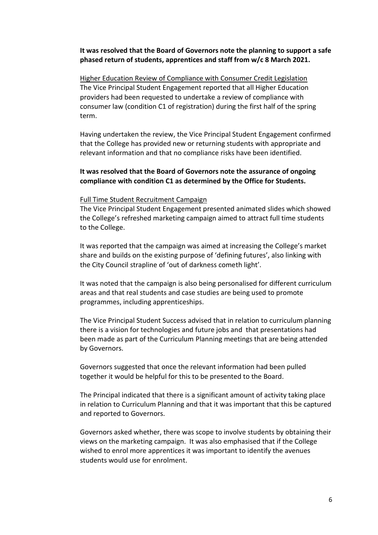### **It was resolved that the Board of Governors note the planning to support a safe phased return of students, apprentices and staff from w/c 8 March 2021.**

Higher Education Review of Compliance with Consumer Credit Legislation The Vice Principal Student Engagement reported that all Higher Education providers had been requested to undertake a review of compliance with consumer law (condition C1 of registration) during the first half of the spring term.

Having undertaken the review, the Vice Principal Student Engagement confirmed that the College has provided new or returning students with appropriate and relevant information and that no compliance risks have been identified.

### **It was resolved that the Board of Governors note the assurance of ongoing compliance with condition C1 as determined by the Office for Students.**

#### Full Time Student Recruitment Campaign

The Vice Principal Student Engagement presented animated slides which showed the College's refreshed marketing campaign aimed to attract full time students to the College.

It was reported that the campaign was aimed at increasing the College's market share and builds on the existing purpose of 'defining futures', also linking with the City Council strapline of 'out of darkness cometh light'.

It was noted that the campaign is also being personalised for different curriculum areas and that real students and case studies are being used to promote programmes, including apprenticeships.

The Vice Principal Student Success advised that in relation to curriculum planning there is a vision for technologies and future jobs and that presentations had been made as part of the Curriculum Planning meetings that are being attended by Governors.

Governors suggested that once the relevant information had been pulled together it would be helpful for this to be presented to the Board.

The Principal indicated that there is a significant amount of activity taking place in relation to Curriculum Planning and that it was important that this be captured and reported to Governors.

Governors asked whether, there was scope to involve students by obtaining their views on the marketing campaign. It was also emphasised that if the College wished to enrol more apprentices it was important to identify the avenues students would use for enrolment.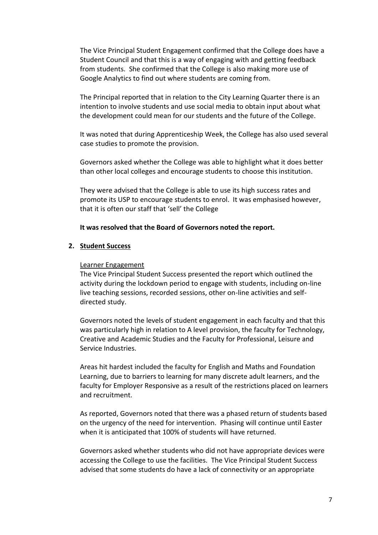The Vice Principal Student Engagement confirmed that the College does have a Student Council and that this is a way of engaging with and getting feedback from students. She confirmed that the College is also making more use of Google Analytics to find out where students are coming from.

The Principal reported that in relation to the City Learning Quarter there is an intention to involve students and use social media to obtain input about what the development could mean for our students and the future of the College.

It was noted that during Apprenticeship Week, the College has also used several case studies to promote the provision.

Governors asked whether the College was able to highlight what it does better than other local colleges and encourage students to choose this institution.

They were advised that the College is able to use its high success rates and promote its USP to encourage students to enrol. It was emphasised however, that it is often our staff that 'sell' the College

#### **It was resolved that the Board of Governors noted the report.**

#### **2. Student Success**

#### Learner Engagement

The Vice Principal Student Success presented the report which outlined the activity during the lockdown period to engage with students, including on-line live teaching sessions, recorded sessions, other on-line activities and selfdirected study.

Governors noted the levels of student engagement in each faculty and that this was particularly high in relation to A level provision, the faculty for Technology, Creative and Academic Studies and the Faculty for Professional, Leisure and Service Industries.

Areas hit hardest included the faculty for English and Maths and Foundation Learning, due to barriers to learning for many discrete adult learners, and the faculty for Employer Responsive as a result of the restrictions placed on learners and recruitment.

As reported, Governors noted that there was a phased return of students based on the urgency of the need for intervention. Phasing will continue until Easter when it is anticipated that 100% of students will have returned.

Governors asked whether students who did not have appropriate devices were accessing the College to use the facilities. The Vice Principal Student Success advised that some students do have a lack of connectivity or an appropriate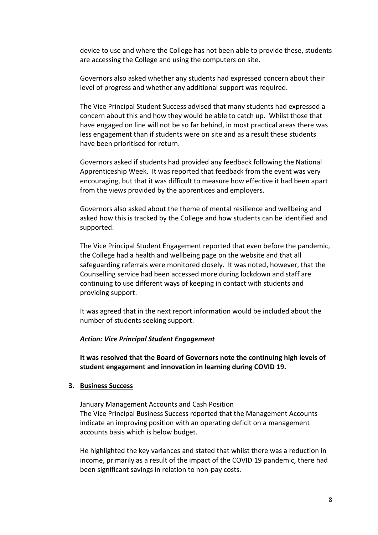device to use and where the College has not been able to provide these, students are accessing the College and using the computers on site.

Governors also asked whether any students had expressed concern about their level of progress and whether any additional support was required.

The Vice Principal Student Success advised that many students had expressed a concern about this and how they would be able to catch up. Whilst those that have engaged on line will not be so far behind, in most practical areas there was less engagement than if students were on site and as a result these students have been prioritised for return.

Governors asked if students had provided any feedback following the National Apprenticeship Week. It was reported that feedback from the event was very encouraging, but that it was difficult to measure how effective it had been apart from the views provided by the apprentices and employers.

Governors also asked about the theme of mental resilience and wellbeing and asked how this is tracked by the College and how students can be identified and supported.

The Vice Principal Student Engagement reported that even before the pandemic, the College had a health and wellbeing page on the website and that all safeguarding referrals were monitored closely. It was noted, however, that the Counselling service had been accessed more during lockdown and staff are continuing to use different ways of keeping in contact with students and providing support.

It was agreed that in the next report information would be included about the number of students seeking support.

#### *Action: Vice Principal Student Engagement*

**It was resolved that the Board of Governors note the continuing high levels of student engagement and innovation in learning during COVID 19.**

#### **3. Business Success**

January Management Accounts and Cash Position

The Vice Principal Business Success reported that the Management Accounts indicate an improving position with an operating deficit on a management accounts basis which is below budget.

He highlighted the key variances and stated that whilst there was a reduction in income, primarily as a result of the impact of the COVID 19 pandemic, there had been significant savings in relation to non-pay costs.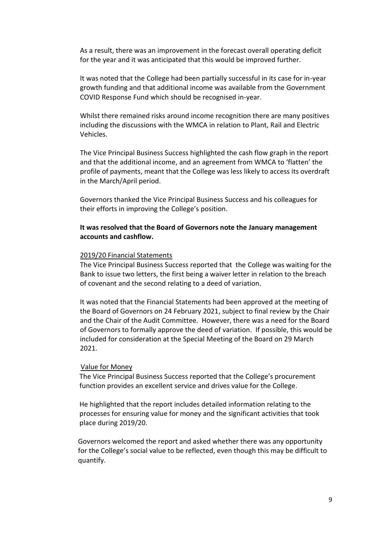As a result, there was an improvement in the forecast overall operating deficit for the year and it was anticipated that this would be improved further.

It was noted that the College had been partially successful in its case for in-year growth funding and that additional income was available from the Government COVID Response Fund which should be recognised in-year.

Whilst there remained risks around income recognition there are many positives including the discussions with the WMCA in relation to Plant, Rail and Electric Vehicles.

The Vice Principal Business Success highlighted the cash flow graph in the report and that the additional income, and an agreement from WMCA to 'flatten' the profile of payments, meant that the College was less likely to access its overdraft in the March/April period.

Governors thanked the Vice Principal Business Success and his colleagues for their efforts in improving the College's position.

### **It was resolved that the Board of Governors note the January management accounts and cashflow.**

#### 2019/20 Financial Statements

The Vice Principal Business Success reported that the College was waiting for the Bank to issue two letters, the first being a waiver letter in relation to the breach of covenant and the second relating to a deed of variation.

It was noted that the Financial Statements had been approved at the meeting of the Board of Governors on 24 February 2021, subject to final review by the Chair and the Chair of the Audit Committee. However, there was a need for the Board of Governors to formally approve the deed of variation. If possible, this would be included for consideration at the Special Meeting of the Board on 29 March 2021.

#### Value for Money

The Vice Principal Business Success reported that the College's procurement function provides an excellent service and drives value for the College.

He highlighted that the report includes detailed information relating to the processes for ensuring value for money and the significant activities that took place during 2019/20.

Governors welcomed the report and asked whether there was any opportunity for the College's social value to be reflected, even though this may be difficult to quantify.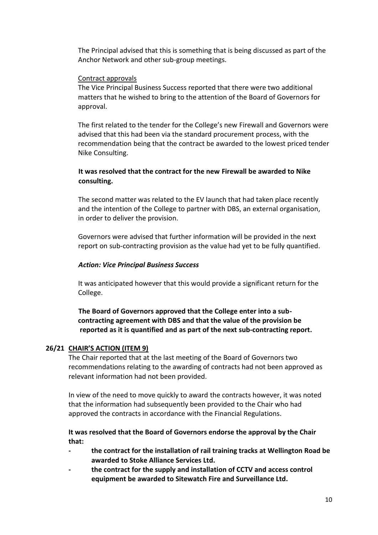The Principal advised that this is something that is being discussed as part of the Anchor Network and other sub-group meetings.

### Contract approvals

The Vice Principal Business Success reported that there were two additional matters that he wished to bring to the attention of the Board of Governors for approval.

The first related to the tender for the College's new Firewall and Governors were advised that this had been via the standard procurement process, with the recommendation being that the contract be awarded to the lowest priced tender Nike Consulting.

### **It was resolved that the contract for the new Firewall be awarded to Nike consulting.**

The second matter was related to the EV launch that had taken place recently and the intention of the College to partner with DBS, an external organisation, in order to deliver the provision.

Governors were advised that further information will be provided in the next report on sub-contracting provision as the value had yet to be fully quantified.

### *Action: Vice Principal Business Success*

It was anticipated however that this would provide a significant return for the College.

 **The Board of Governors approved that the College enter into a subcontracting agreement with DBS and that the value of the provision be reported as it is quantified and as part of the next sub-contracting report.**

### **26/21 CHAIR'S ACTION (ITEM 9)**

The Chair reported that at the last meeting of the Board of Governors two recommendations relating to the awarding of contracts had not been approved as relevant information had not been provided.

In view of the need to move quickly to award the contracts however, it was noted that the information had subsequently been provided to the Chair who had approved the contracts in accordance with the Financial Regulations.

### **It was resolved that the Board of Governors endorse the approval by the Chair that:**

- **- the contract for the installation of rail training tracks at Wellington Road be awarded to Stoke Alliance Services Ltd.**
- **- the contract for the supply and installation of CCTV and access control equipment be awarded to Sitewatch Fire and Surveillance Ltd.**